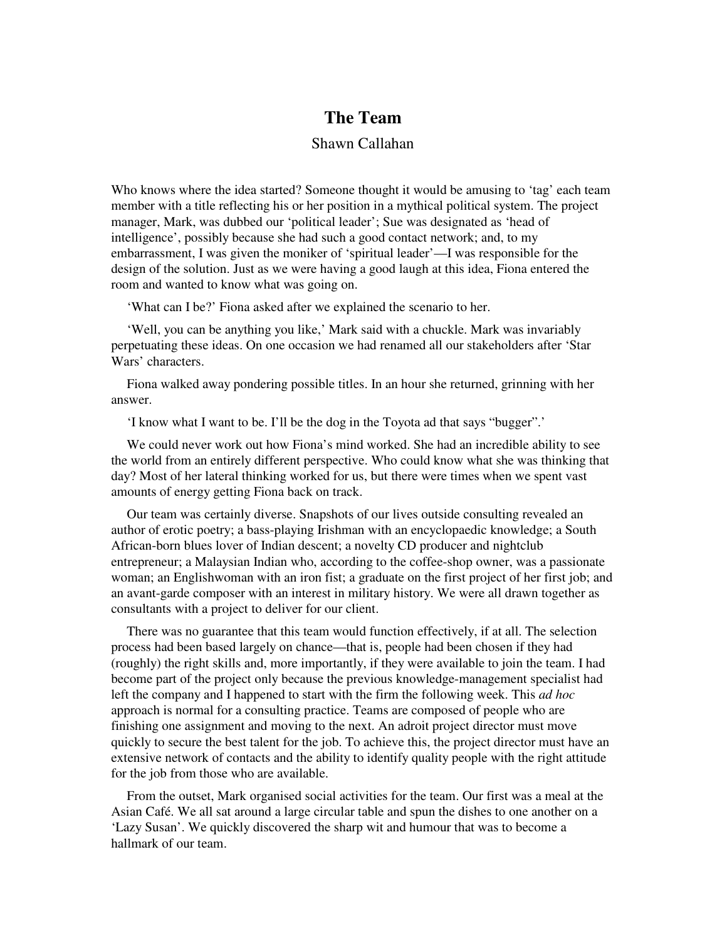## **The Team**

## Shawn Callahan

Who knows where the idea started? Someone thought it would be amusing to 'tag' each team member with a title reflecting his or her position in a mythical political system. The project manager, Mark, was dubbed our 'political leader'; Sue was designated as 'head of intelligence', possibly because she had such a good contact network; and, to my embarrassment, I was given the moniker of 'spiritual leader'—I was responsible for the design of the solution. Just as we were having a good laugh at this idea, Fiona entered the room and wanted to know what was going on.

'What can I be?' Fiona asked after we explained the scenario to her.

'Well, you can be anything you like,' Mark said with a chuckle. Mark was invariably perpetuating these ideas. On one occasion we had renamed all our stakeholders after 'Star Wars' characters.

Fiona walked away pondering possible titles. In an hour she returned, grinning with her answer.

'I know what I want to be. I'll be the dog in the Toyota ad that says "bugger".'

We could never work out how Fiona's mind worked. She had an incredible ability to see the world from an entirely different perspective. Who could know what she was thinking that day? Most of her lateral thinking worked for us, but there were times when we spent vast amounts of energy getting Fiona back on track.

Our team was certainly diverse. Snapshots of our lives outside consulting revealed an author of erotic poetry; a bass-playing Irishman with an encyclopaedic knowledge; a South African-born blues lover of Indian descent; a novelty CD producer and nightclub entrepreneur; a Malaysian Indian who, according to the coffee-shop owner, was a passionate woman; an Englishwoman with an iron fist; a graduate on the first project of her first job; and an avant-garde composer with an interest in military history. We were all drawn together as consultants with a project to deliver for our client.

There was no guarantee that this team would function effectively, if at all. The selection process had been based largely on chance—that is, people had been chosen if they had (roughly) the right skills and, more importantly, if they were available to join the team. I had become part of the project only because the previous knowledge-management specialist had left the company and I happened to start with the firm the following week. This *ad hoc* approach is normal for a consulting practice. Teams are composed of people who are finishing one assignment and moving to the next. An adroit project director must move quickly to secure the best talent for the job. To achieve this, the project director must have an extensive network of contacts and the ability to identify quality people with the right attitude for the job from those who are available.

From the outset, Mark organised social activities for the team. Our first was a meal at the Asian Café. We all sat around a large circular table and spun the dishes to one another on a 'Lazy Susan'. We quickly discovered the sharp wit and humour that was to become a hallmark of our team.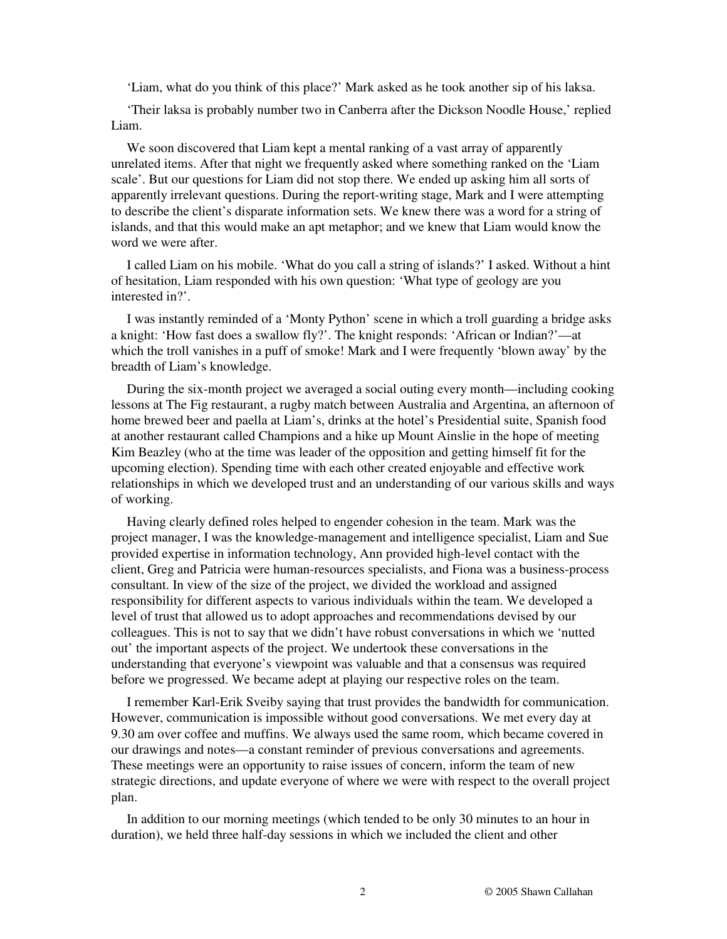'Liam, what do you think of this place?' Mark asked as he took another sip of his laksa.

'Their laksa is probably number two in Canberra after the Dickson Noodle House,' replied Liam.

We soon discovered that Liam kept a mental ranking of a vast array of apparently unrelated items. After that night we frequently asked where something ranked on the 'Liam scale'. But our questions for Liam did not stop there. We ended up asking him all sorts of apparently irrelevant questions. During the report-writing stage, Mark and I were attempting to describe the client's disparate information sets. We knew there was a word for a string of islands, and that this would make an apt metaphor; and we knew that Liam would know the word we were after.

I called Liam on his mobile. 'What do you call a string of islands?' I asked. Without a hint of hesitation, Liam responded with his own question: 'What type of geology are you interested in?'.

I was instantly reminded of a 'Monty Python' scene in which a troll guarding a bridge asks a knight: 'How fast does a swallow fly?'. The knight responds: 'African or Indian?'—at which the troll vanishes in a puff of smoke! Mark and I were frequently 'blown away' by the breadth of Liam's knowledge.

During the six-month project we averaged a social outing every month—including cooking lessons at The Fig restaurant, a rugby match between Australia and Argentina, an afternoon of home brewed beer and paella at Liam's, drinks at the hotel's Presidential suite, Spanish food at another restaurant called Champions and a hike up Mount Ainslie in the hope of meeting Kim Beazley (who at the time was leader of the opposition and getting himself fit for the upcoming election). Spending time with each other created enjoyable and effective work relationships in which we developed trust and an understanding of our various skills and ways of working.

Having clearly defined roles helped to engender cohesion in the team. Mark was the project manager, I was the knowledge-management and intelligence specialist, Liam and Sue provided expertise in information technology, Ann provided high-level contact with the client, Greg and Patricia were human-resources specialists, and Fiona was a business-process consultant. In view of the size of the project, we divided the workload and assigned responsibility for different aspects to various individuals within the team. We developed a level of trust that allowed us to adopt approaches and recommendations devised by our colleagues. This is not to say that we didn't have robust conversations in which we 'nutted out' the important aspects of the project. We undertook these conversations in the understanding that everyone's viewpoint was valuable and that a consensus was required before we progressed. We became adept at playing our respective roles on the team.

I remember Karl-Erik Sveiby saying that trust provides the bandwidth for communication. However, communication is impossible without good conversations. We met every day at 9.30 am over coffee and muffins. We always used the same room, which became covered in our drawings and notes—a constant reminder of previous conversations and agreements. These meetings were an opportunity to raise issues of concern, inform the team of new strategic directions, and update everyone of where we were with respect to the overall project plan.

In addition to our morning meetings (which tended to be only 30 minutes to an hour in duration), we held three half-day sessions in which we included the client and other